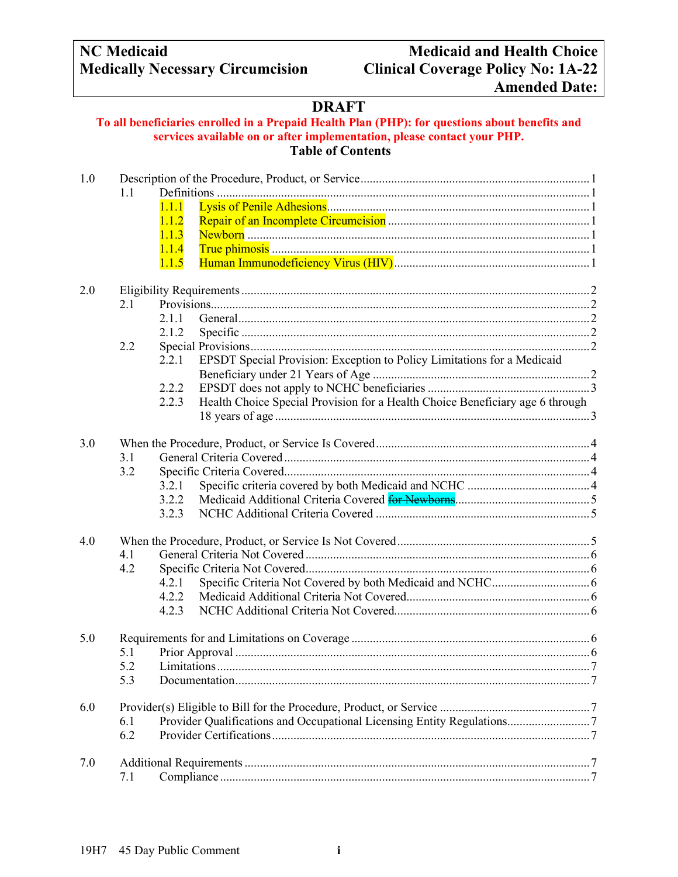# **Medically Necessary Circumcision**

## **NC Medicaid Medicaid and Health Choice Amended Date:**

### **DRAFT**

#### **To all beneficiaries enrolled in a Prepaid Health Plan (PHP): for questions about benefits and services available on or after implementation, please contact your PHP. Table of Contents**

| 1.0 |     |                                                                                        |  |  |
|-----|-----|----------------------------------------------------------------------------------------|--|--|
|     | 1.1 |                                                                                        |  |  |
|     |     | 1.1.1                                                                                  |  |  |
|     |     | 1.1.2                                                                                  |  |  |
|     |     | 1.1.3                                                                                  |  |  |
|     |     | 1.1.4                                                                                  |  |  |
|     |     | 1.1.5                                                                                  |  |  |
| 2.0 |     |                                                                                        |  |  |
|     | 2.1 |                                                                                        |  |  |
|     |     | 2.1.1                                                                                  |  |  |
|     |     | 2.1.2                                                                                  |  |  |
|     | 2.2 |                                                                                        |  |  |
|     |     | EPSDT Special Provision: Exception to Policy Limitations for a Medicaid<br>2.2.1       |  |  |
|     |     |                                                                                        |  |  |
|     |     | 2.2.2                                                                                  |  |  |
|     |     | Health Choice Special Provision for a Health Choice Beneficiary age 6 through<br>2.2.3 |  |  |
|     |     |                                                                                        |  |  |
| 3.0 |     |                                                                                        |  |  |
|     | 3.1 |                                                                                        |  |  |
|     | 3.2 |                                                                                        |  |  |
|     |     | 3.2.1                                                                                  |  |  |
|     |     | 3.2.2                                                                                  |  |  |
|     |     | 3.2.3                                                                                  |  |  |
| 4.0 |     |                                                                                        |  |  |
|     | 4.1 |                                                                                        |  |  |
|     | 4.2 |                                                                                        |  |  |
|     |     | 4.2.1                                                                                  |  |  |
|     |     | 4.2.2                                                                                  |  |  |
|     |     | 4.2.3                                                                                  |  |  |
|     |     |                                                                                        |  |  |
| 5.0 |     |                                                                                        |  |  |
|     | 5.1 |                                                                                        |  |  |
|     |     |                                                                                        |  |  |
|     | 5.3 |                                                                                        |  |  |
| 6.0 |     |                                                                                        |  |  |
|     | 6.1 | Provider Qualifications and Occupational Licensing Entity Regulations7                 |  |  |
|     | 6.2 |                                                                                        |  |  |
| 7.0 |     |                                                                                        |  |  |
|     | 7.1 |                                                                                        |  |  |
|     |     |                                                                                        |  |  |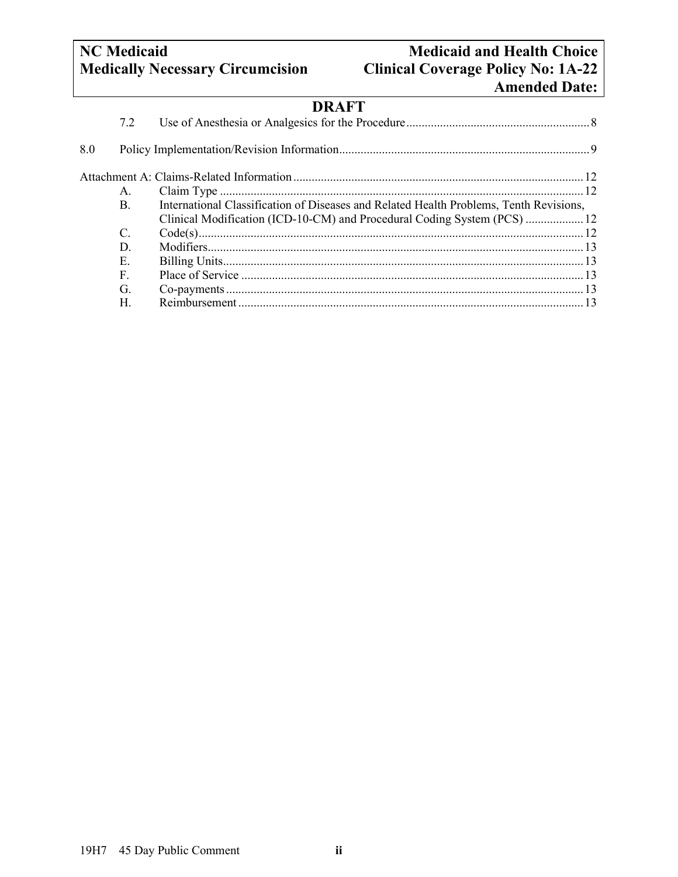### **NC** Medicaid<br> **Net Allen Choice**<br> **Medically Necessary Circumcision**<br> **Clinical Coverage Policy No: 1A-22 Clinical Coverage Policy No: 1A-22 Amended Date:**

## **DRAFT**

|     | 7.2           |                                                                                        |  |
|-----|---------------|----------------------------------------------------------------------------------------|--|
| 8.0 |               |                                                                                        |  |
|     |               |                                                                                        |  |
|     | A.            |                                                                                        |  |
|     | B.            | International Classification of Diseases and Related Health Problems, Tenth Revisions, |  |
|     |               | Clinical Modification (ICD-10-CM) and Procedural Coding System (PCS)  12               |  |
|     | $\mathcal{C}$ |                                                                                        |  |
|     | D.            |                                                                                        |  |
|     | Е.            |                                                                                        |  |
|     | F.            |                                                                                        |  |
|     | G.            |                                                                                        |  |
|     | H.            |                                                                                        |  |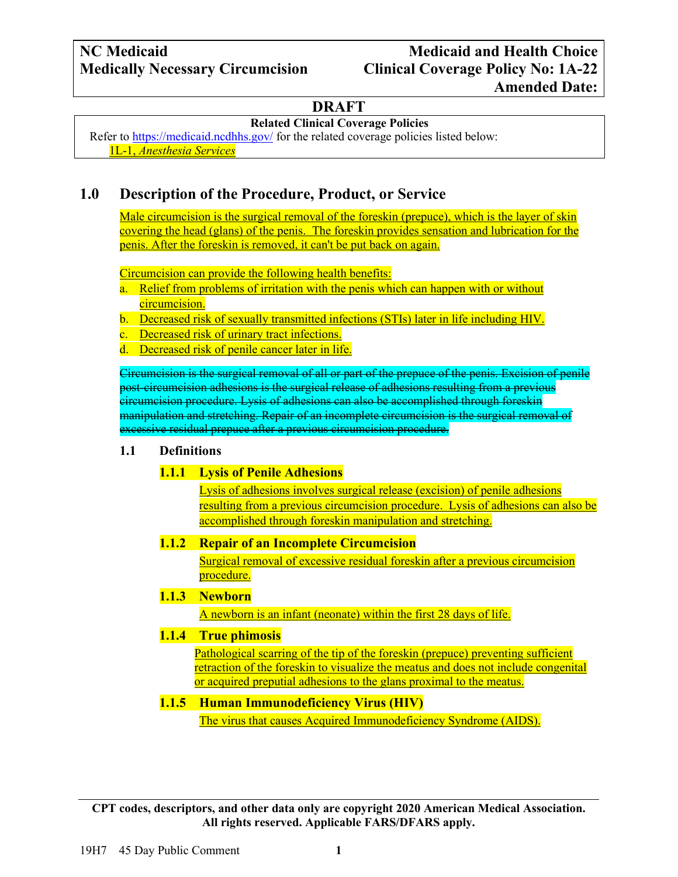### **Related Clinical Coverage Policies**

Refer to <https://medicaid.ncdhhs.gov/> for the related coverage policies listed below: 1L-1, *Anesthesia Services*

### <span id="page-2-0"></span>**1.0 Description of the Procedure, Product, or Service**

Male circumcision is the surgical removal of the foreskin (prepuce), which is the layer of skin covering the head (glans) of the penis. The foreskin provides sensation and lubrication for the penis. After the foreskin is removed, it can't be put back on again.

Circumcision can provide the following health benefits:

a. Relief from problems of irritation with the penis which can happen with or without circumcision.

#### b. Decreased risk of sexually transmitted infections (STIs) later in life including HIV.

- c. Decreased risk of urinary tract infections.
- d. Decreased risk of penile cancer later in life.

Circumcision is the surgical removal of all or part of the prepuce of the penis. Excision of penile post-circumcision adhesions is the surgical release of adhesions resulting from a previous circumcision procedure. Lysis of adhesions can also be accomplished through foreskin manipulation and stretching. Repair of an incomplete circumcision is the surgical removal of excessive residual prepuce after a previous circumcision procedure.

#### <span id="page-2-2"></span><span id="page-2-1"></span>**1.1 Definitions**

#### **1.1.1 Lysis of Penile Adhesions**

Lysis of adhesions involves surgical release (excision) of penile adhesions resulting from a previous circumcision procedure. Lysis of adhesions can also be accomplished through foreskin manipulation and stretching.

#### <span id="page-2-3"></span>**1.1.2 Repair of an Incomplete Circumcision**

Surgical removal of excessive residual foreskin after a previous circumcision procedure.

#### <span id="page-2-4"></span>**1.1.3 Newborn**

A newborn is an infant (neonate) within the first 28 days of life.

#### <span id="page-2-5"></span>**1.1.4 True phimosis**

Pathological scarring of the tip of the foreskin (prepuce) preventing sufficient retraction of the foreskin to visualize the meatus and does not include congenital or acquired preputial adhesions to the glans proximal to the meatus.

#### <span id="page-2-6"></span>**1.1.5 Human Immunodeficiency Virus (HIV)**

The virus that causes Acquired Immunodeficiency Syndrome (AIDS).

**CPT codes, descriptors, and other data only are copyright 2020 American Medical Association. All rights reserved. Applicable FARS/DFARS apply.**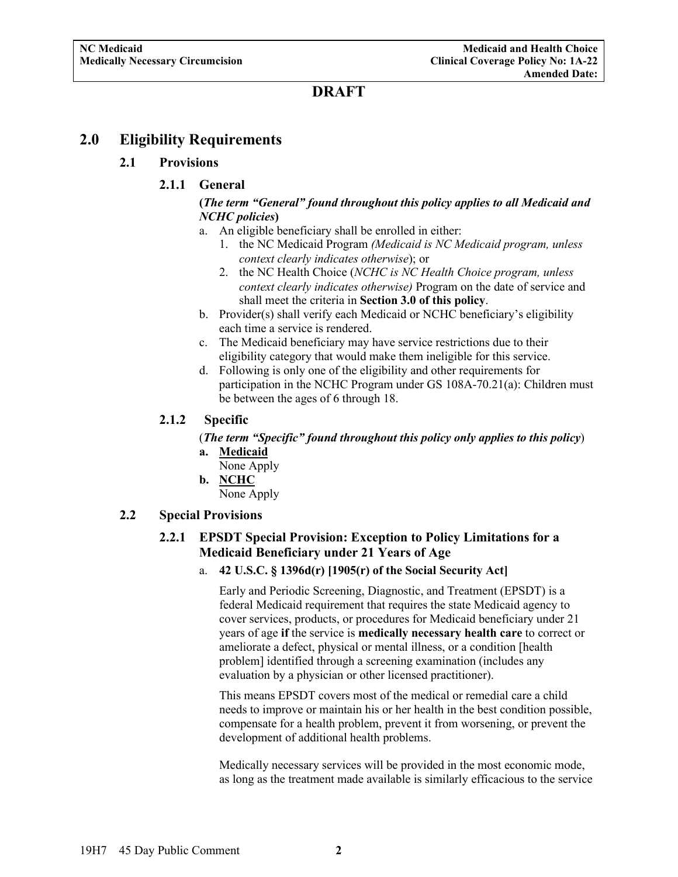#### <span id="page-3-2"></span><span id="page-3-1"></span><span id="page-3-0"></span>**2.0 Eligibility Requirements**

#### **2.1 Provisions**

#### **2.1.1 General**

#### **(***The term "General" found throughout this policy applies to all Medicaid and NCHC policies***)**

- a. An eligible beneficiary shall be enrolled in either:
	- 1. the NC Medicaid Program *(Medicaid is NC Medicaid program, unless context clearly indicates otherwise*); or
	- 2. the NC Health Choice (*NCHC is NC Health Choice program, unless context clearly indicates otherwise)* Program on the date of service and shall meet the criteria in **Section 3.0 of this policy**.
- b. Provider(s) shall verify each Medicaid or NCHC beneficiary's eligibility each time a service is rendered.
- c. The Medicaid beneficiary may have service restrictions due to their eligibility category that would make them ineligible for this service.
- d. Following is only one of the eligibility and other requirements for participation in the NCHC Program under GS 108A-70.21(a): Children must be between the ages of 6 through 18.

#### <span id="page-3-3"></span>**2.1.2 Specific**

(*The term "Specific" found throughout this policy only applies to this policy*) **a. Medicaid**

- None Apply
- **b. NCHC**

None Apply

#### <span id="page-3-5"></span><span id="page-3-4"></span>**2.2 Special Provisions**

#### **2.2.1 EPSDT Special Provision: Exception to Policy Limitations for a Medicaid Beneficiary under 21 Years of Age**

a. **42 U.S.C. § 1396d(r) [1905(r) of the Social Security Act]**

Early and Periodic Screening, Diagnostic, and Treatment (EPSDT) is a federal Medicaid requirement that requires the state Medicaid agency to cover services, products, or procedures for Medicaid beneficiary under 21 years of age **if** the service is **medically necessary health care** to correct or ameliorate a defect, physical or mental illness, or a condition [health problem] identified through a screening examination (includes any evaluation by a physician or other licensed practitioner).

This means EPSDT covers most of the medical or remedial care a child needs to improve or maintain his or her health in the best condition possible, compensate for a health problem, prevent it from worsening, or prevent the development of additional health problems.

Medically necessary services will be provided in the most economic mode, as long as the treatment made available is similarly efficacious to the service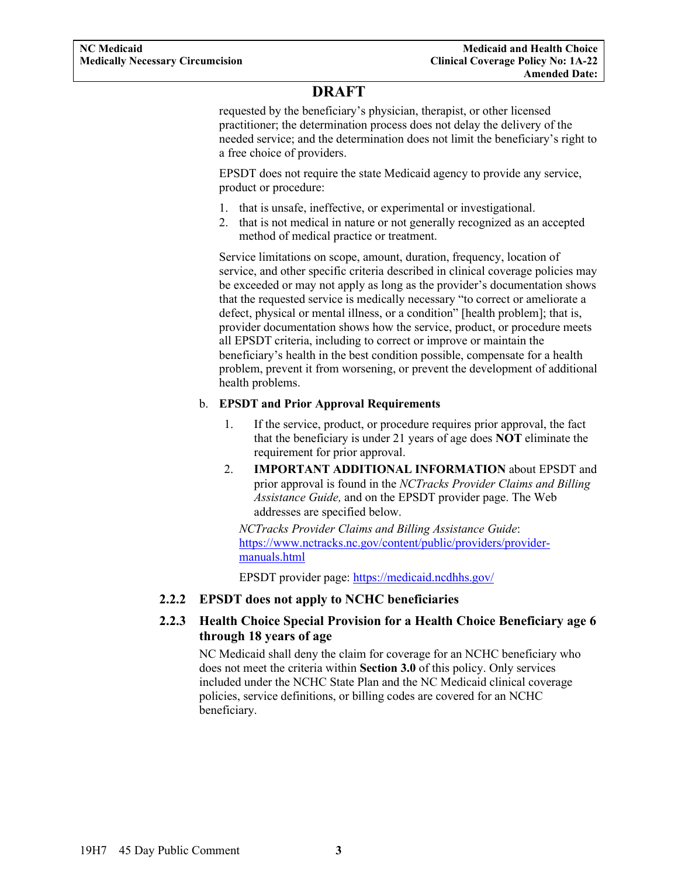requested by the beneficiary's physician, therapist, or other licensed practitioner; the determination process does not delay the delivery of the needed service; and the determination does not limit the beneficiary's right to a free choice of providers.

EPSDT does not require the state Medicaid agency to provide any service, product or procedure:

- 1. that is unsafe, ineffective, or experimental or investigational.
- 2. that is not medical in nature or not generally recognized as an accepted method of medical practice or treatment.

Service limitations on scope, amount, duration, frequency, location of service, and other specific criteria described in clinical coverage policies may be exceeded or may not apply as long as the provider's documentation shows that the requested service is medically necessary "to correct or ameliorate a defect, physical or mental illness, or a condition" [health problem]; that is, provider documentation shows how the service, product, or procedure meets all EPSDT criteria, including to correct or improve or maintain the beneficiary's health in the best condition possible, compensate for a health problem, prevent it from worsening, or prevent the development of additional health problems.

#### b. **EPSDT and Prior Approval Requirements**

- 1. If the service, product, or procedure requires prior approval, the fact that the beneficiary is under 21 years of age does **NOT** eliminate the requirement for prior approval.
- 2. **IMPORTANT ADDITIONAL INFORMATION** about EPSDT and prior approval is found in the *NCTracks Provider Claims and Billing Assistance Guide,* and on the EPSDT provider page. The Web addresses are specified below.

*NCTracks Provider Claims and Billing Assistance Guide*: [https://www.nctracks.nc.gov/content/public/providers/provider](https://www.nctracks.nc.gov/content/public/providers/provider-manuals.html)[manuals.html](https://www.nctracks.nc.gov/content/public/providers/provider-manuals.html)

EPSDT provider page: <https://medicaid.ncdhhs.gov/>

#### <span id="page-4-0"></span>**2.2.2 EPSDT does not apply to NCHC beneficiaries**

#### <span id="page-4-1"></span>**2.2.3 Health Choice Special Provision for a Health Choice Beneficiary age 6 through 18 years of age**

NC Medicaid shall deny the claim for coverage for an NCHC beneficiary who does not meet the criteria within **Section 3.0** of this policy. Only services included under the NCHC State Plan and the NC Medicaid clinical coverage policies, service definitions, or billing codes are covered for an NCHC beneficiary.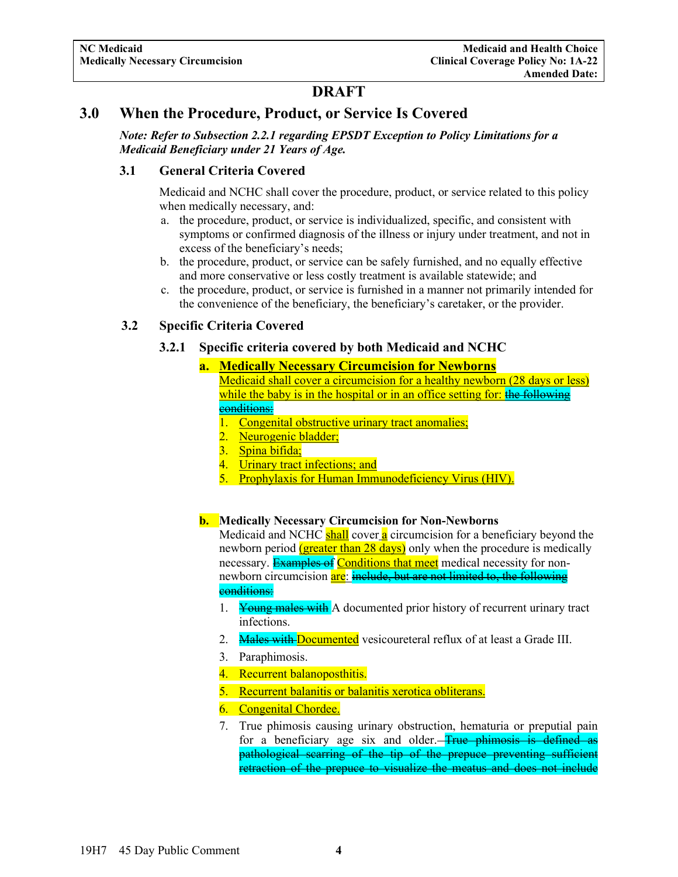#### <span id="page-5-0"></span>**3.0 When the Procedure, Product, or Service Is Covered**

*Note: Refer to Subsection 2.2.1 regarding EPSDT Exception to Policy Limitations for a Medicaid Beneficiary under 21 Years of Age.*

#### <span id="page-5-1"></span>**3.1 General Criteria Covered**

Medicaid and NCHC shall cover the procedure, product, or service related to this policy when medically necessary, and:

- a. the procedure, product, or service is individualized, specific, and consistent with symptoms or confirmed diagnosis of the illness or injury under treatment, and not in excess of the beneficiary's needs;
- b. the procedure, product, or service can be safely furnished, and no equally effective and more conservative or less costly treatment is available statewide; and
- c. the procedure, product, or service is furnished in a manner not primarily intended for the convenience of the beneficiary, the beneficiary's caretaker, or the provider.

#### <span id="page-5-3"></span><span id="page-5-2"></span>**3.2 Specific Criteria Covered**

#### **3.2.1 Specific criteria covered by both Medicaid and NCHC**

#### **a. Medically Necessary Circumcision for Newborns**

- Medicaid shall cover a circumcision for a healthy newborn (28 days or less) while the baby is in the hospital or in an office setting for: the following conditions:
- 1. Congenital obstructive urinary tract anomalies;
- 2. Neurogenic bladder;
- 3. Spina bifida;
- 4. Urinary tract infections; and
- 5. Prophylaxis for Human Immunodeficiency Virus (HIV).

#### **b. Medically Necessary Circumcision for Non-Newborns**

Medicaid and NCHC shall cover a circumcision for a beneficiary beyond the newborn period (greater than 28 days) only when the procedure is medically necessary. Examples of Conditions that meet medical necessity for nonnewborn circumcision are: include, but are not limited to, the following conditions:

- 1. Young males with A documented prior history of recurrent urinary tract infections.
- 2. Males with Documented vesicoureteral reflux of at least a Grade III.
- 3. Paraphimosis.
- 4. Recurrent balanoposthitis.
- 5. Recurrent balanitis or balanitis xerotica obliterans.
- 6. Congenital Chordee.
- 7. True phimosis causing urinary obstruction, hematuria or preputial pain for a beneficiary age six and older. **True phimosis is defined as** pathological scarring of the tip of the prepuce preventing sufficient retraction of the prepuce to visualize the meatus and does not include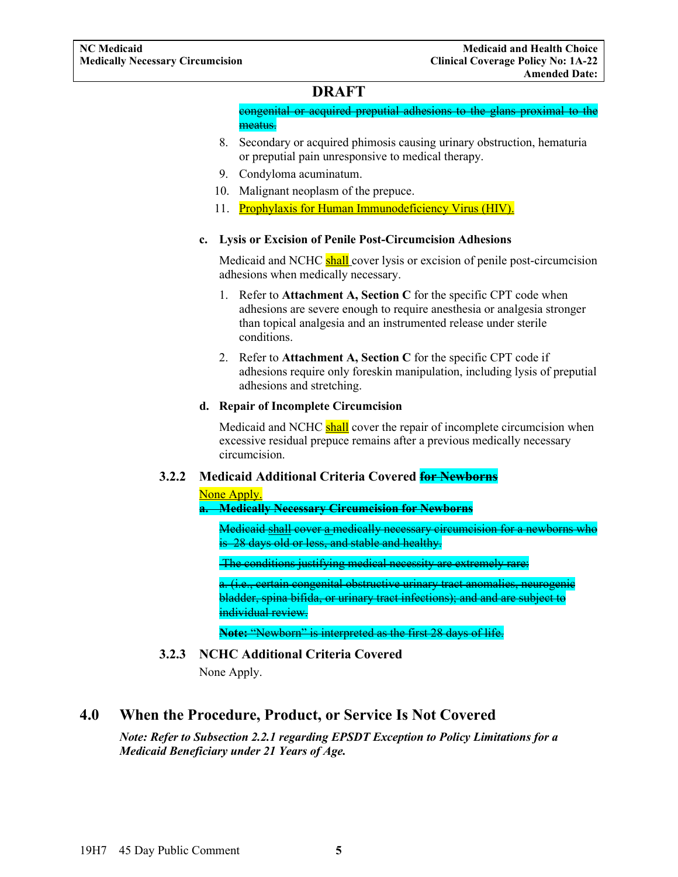congenital or acquired preputial adhesions to the glans proximal to the meatus.

- 8. Secondary or acquired phimosis causing urinary obstruction, hematuria or preputial pain unresponsive to medical therapy.
- 9. Condyloma acuminatum.
- 10. Malignant neoplasm of the prepuce.
- 11. Prophylaxis for Human Immunodeficiency Virus (HIV).

#### **c. Lysis or Excision of Penile Post-Circumcision Adhesions**

Medicaid and NCHC shall cover lysis or excision of penile post-circumcision adhesions when medically necessary.

- 1. Refer to **Attachment A, Section C** for the specific CPT code when adhesions are severe enough to require anesthesia or analgesia stronger than topical analgesia and an instrumented release under sterile conditions.
- 2. Refer to **Attachment A, Section C** for the specific CPT code if adhesions require only foreskin manipulation, including lysis of preputial adhesions and stretching.

#### **d. Repair of Incomplete Circumcision**

Medicaid and NCHC shall cover the repair of incomplete circumcision when excessive residual prepuce remains after a previous medically necessary circumcision.

#### <span id="page-6-0"></span>**3.2.2 Medicaid Additional Criteria Covered for Newborns**

#### None Apply.

#### **a. Medically Necessary Circumcision for Newborns**

Medicaid shall cover a medically necessary circumcision for a newborns who is 28 days old or less, and stable and healthy.

The conditions justifying medical necessity are extremely rare:

a. (i.e., certain congenital obstructive urinary tract anomalies, neurogenic bladder, spina bifida, or urinary tract infections); and and are subject to individual review.

**Note:** "Newborn" is interpreted as the first 28 days of life.

#### **3.2.3 NCHC Additional Criteria Covered**

None Apply.

### <span id="page-6-2"></span><span id="page-6-1"></span>**4.0 When the Procedure, Product, or Service Is Not Covered**

*Note: Refer to Subsection 2.2.1 regarding EPSDT Exception to Policy Limitations for a Medicaid Beneficiary under 21 Years of Age.*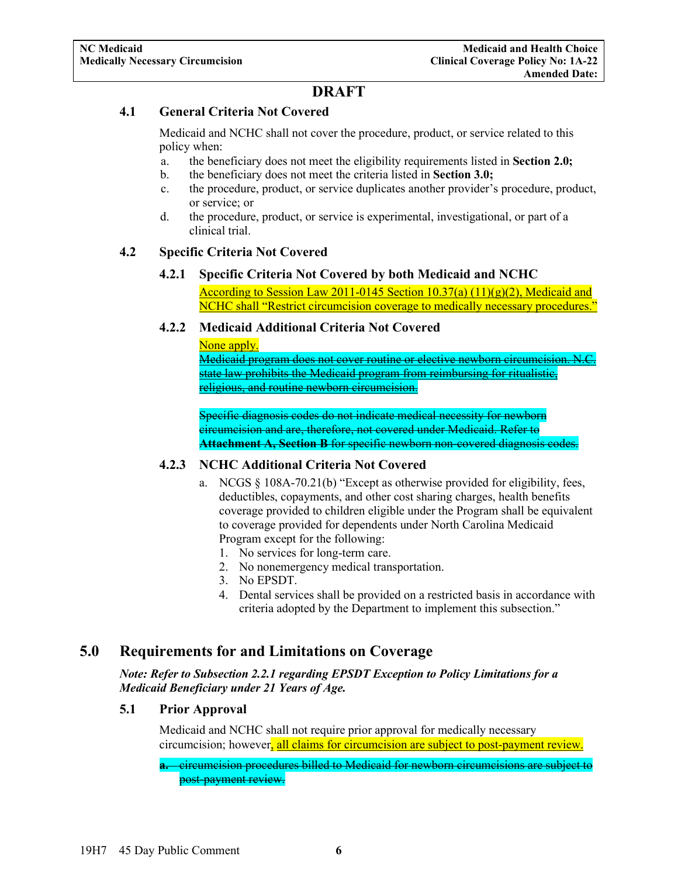#### <span id="page-7-0"></span>**4.1 General Criteria Not Covered**

Medicaid and NCHC shall not cover the procedure, product, or service related to this policy when:

- a. the beneficiary does not meet the eligibility requirements listed in **Section 2.0;**
- b. the beneficiary does not meet the criteria listed in **Section 3.0;**
- c. the procedure, product, or service duplicates another provider's procedure, product, or service; or
- d. the procedure, product, or service is experimental, investigational, or part of a clinical trial.

#### <span id="page-7-2"></span><span id="page-7-1"></span>**4.2 Specific Criteria Not Covered**

#### **4.2.1 Specific Criteria Not Covered by both Medicaid and NCHC** According to Session Law 2011-0145 Section  $10.37(a)$   $(11)(g)(2)$ , Medicaid and NCHC shall "Restrict circumcision coverage to medically necessary procedures."

#### <span id="page-7-3"></span>**4.2.2 Medicaid Additional Criteria Not Covered**

None apply.

Medicaid program does not cover routine or elective newborn circumcision. N.C. state law prohibits the Medicaid program from reimbursing for ritualistic, religious, and routine newborn circumcision.

Specific diagnosis codes do not indicate medical necessity for newborn circumcision and are, therefore, not covered under Medicaid. Refer to **Attachment A, Section B** for specific newborn non-covered diagnosis codes.

#### <span id="page-7-4"></span>**4.2.3 NCHC Additional Criteria Not Covered**

- a. NCGS § 108A-70.21(b) "Except as otherwise provided for eligibility, fees, deductibles, copayments, and other cost sharing charges, health benefits coverage provided to children eligible under the Program shall be equivalent to coverage provided for dependents under North Carolina Medicaid Program except for the following:
	- 1. No services for long-term care.
	- 2. No nonemergency medical transportation.
	- 3. No EPSDT.
	- 4. Dental services shall be provided on a restricted basis in accordance with criteria adopted by the Department to implement this subsection."

### <span id="page-7-5"></span>**5.0 Requirements for and Limitations on Coverage**

*Note: Refer to Subsection 2.2.1 regarding EPSDT Exception to Policy Limitations for a Medicaid Beneficiary under 21 Years of Age.*

#### <span id="page-7-6"></span>**5.1 Prior Approval**

Medicaid and NCHC shall not require prior approval for medically necessary circumcision; however, all claims for circumcision are subject to post-payment review.

**a.** circumcision procedures billed to Medicaid for newborn circumcisions are subject to post-payment review.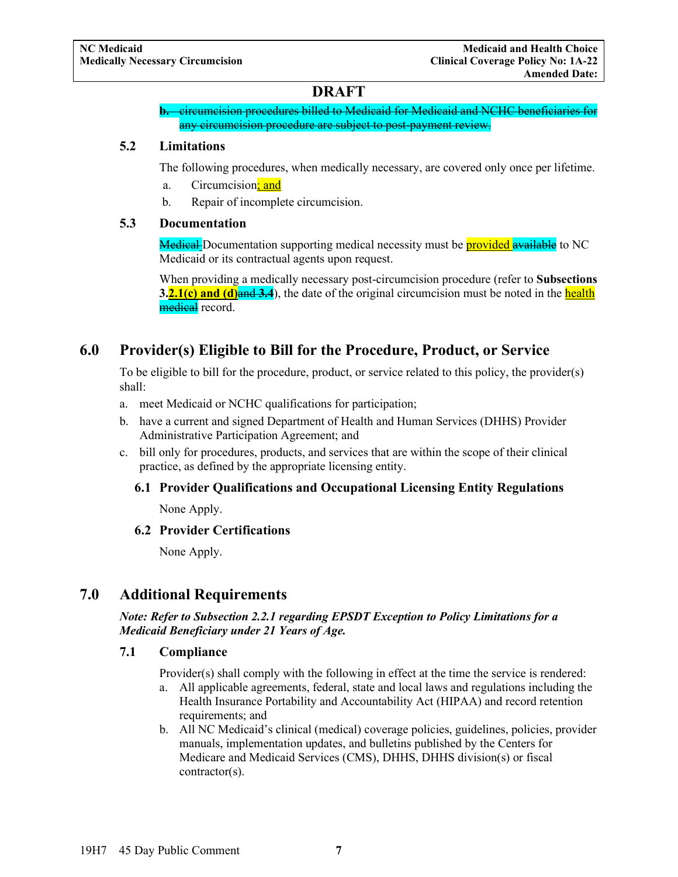**b.** circumcision procedures billed to Medicaid for Medicaid and NCHC beneficiaries for any circumcision procedure are subject to post-payment review.

#### <span id="page-8-0"></span>**5.2 Limitations**

The following procedures, when medically necessary, are covered only once per lifetime.

- a. Circumcision; and
- b. Repair of incomplete circumcision.

#### <span id="page-8-1"></span>**5.3 Documentation**

Medical Documentation supporting medical necessity must be **provided available** to NC Medicaid or its contractual agents upon request.

When providing a medically necessary post-circumcision procedure (refer to **Subsections 3.2.1(c) and (d)** and **43.4**), the date of the original circumcision must be noted in the health medical record.

### <span id="page-8-2"></span>**6.0 Provider(s) Eligible to Bill for the Procedure, Product, or Service**

To be eligible to bill for the procedure, product, or service related to this policy, the provider(s) shall:

- a. meet Medicaid or NCHC qualifications for participation;
- b. have a current and signed Department of Health and Human Services (DHHS) Provider Administrative Participation Agreement; and
- <span id="page-8-3"></span>c. bill only for procedures, products, and services that are within the scope of their clinical practice, as defined by the appropriate licensing entity.

#### **6.1 Provider Qualifications and Occupational Licensing Entity Regulations**

None Apply.

#### <span id="page-8-4"></span>**6.2 Provider Certifications**

None Apply.

### <span id="page-8-5"></span>**7.0 Additional Requirements**

*Note: Refer to Subsection 2.2.1 regarding EPSDT Exception to Policy Limitations for a Medicaid Beneficiary under 21 Years of Age.*

#### <span id="page-8-6"></span>**7.1 Compliance**

Provider(s) shall comply with the following in effect at the time the service is rendered:

- a. All applicable agreements, federal, state and local laws and regulations including the Health Insurance Portability and Accountability Act (HIPAA) and record retention requirements; and
- b. All NC Medicaid's clinical (medical) coverage policies, guidelines, policies, provider manuals, implementation updates, and bulletins published by the Centers for Medicare and Medicaid Services (CMS), DHHS, DHHS division(s) or fiscal contractor(s).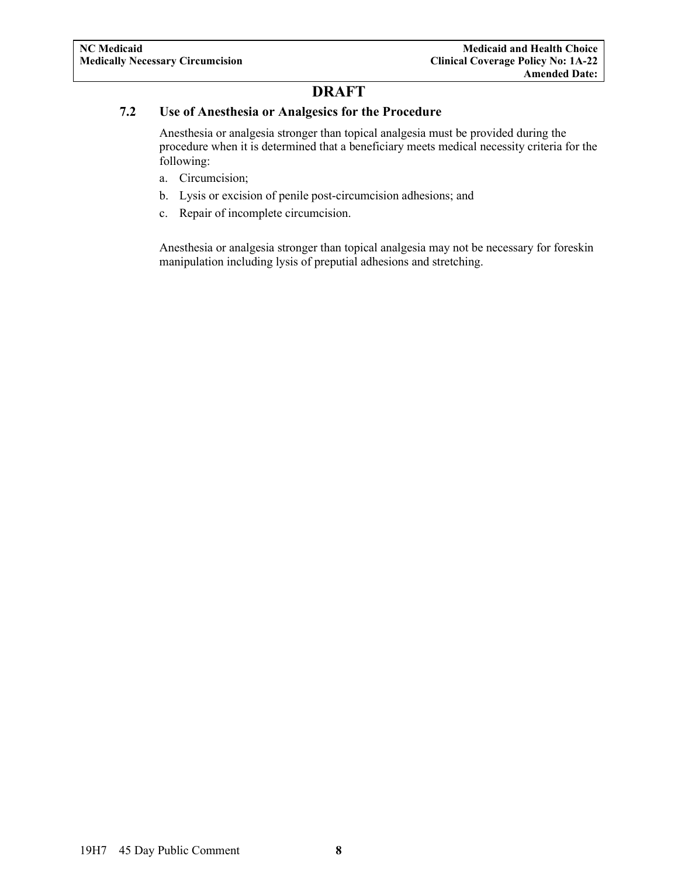#### <span id="page-9-0"></span>**7.2 Use of Anesthesia or Analgesics for the Procedure**

Anesthesia or analgesia stronger than topical analgesia must be provided during the procedure when it is determined that a beneficiary meets medical necessity criteria for the following:

- a. Circumcision;
- b. Lysis or excision of penile post-circumcision adhesions; and
- c. Repair of incomplete circumcision.

Anesthesia or analgesia stronger than topical analgesia may not be necessary for foreskin manipulation including lysis of preputial adhesions and stretching.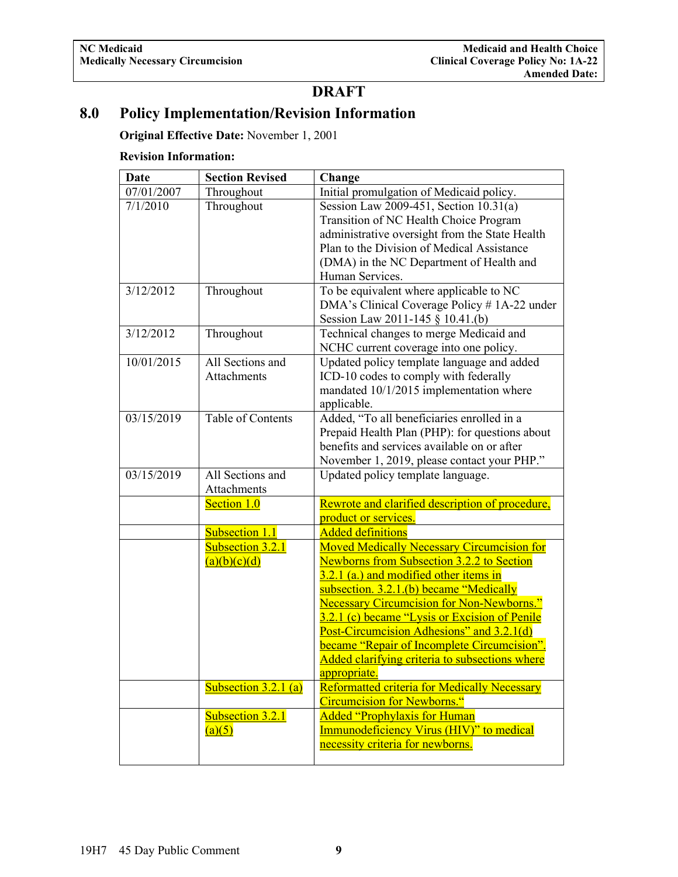### <span id="page-10-0"></span>**8.0 Policy Implementation/Revision Information**

**Original Effective Date:** November 1, 2001

#### **Revision Information:**

| Date       | <b>Section Revised</b>            | Change                                                                                                              |
|------------|-----------------------------------|---------------------------------------------------------------------------------------------------------------------|
| 07/01/2007 | Throughout                        | Initial promulgation of Medicaid policy.                                                                            |
| 7/1/2010   | Throughout                        | Session Law 2009-451, Section 10.31(a)                                                                              |
|            |                                   | Transition of NC Health Choice Program                                                                              |
|            |                                   | administrative oversight from the State Health                                                                      |
|            |                                   | Plan to the Division of Medical Assistance                                                                          |
|            |                                   | (DMA) in the NC Department of Health and                                                                            |
|            |                                   | Human Services.                                                                                                     |
| 3/12/2012  | Throughout                        | To be equivalent where applicable to NC                                                                             |
|            |                                   | DMA's Clinical Coverage Policy # 1A-22 under                                                                        |
|            |                                   | Session Law 2011-145 § 10.41.(b)                                                                                    |
| 3/12/2012  | Throughout                        | Technical changes to merge Medicaid and                                                                             |
|            |                                   | NCHC current coverage into one policy.                                                                              |
| 10/01/2015 | All Sections and                  | Updated policy template language and added                                                                          |
|            | Attachments                       | ICD-10 codes to comply with federally                                                                               |
|            |                                   | mandated 10/1/2015 implementation where                                                                             |
|            |                                   | applicable.                                                                                                         |
| 03/15/2019 | Table of Contents                 | Added, "To all beneficiaries enrolled in a                                                                          |
|            |                                   | Prepaid Health Plan (PHP): for questions about                                                                      |
|            |                                   | benefits and services available on or after                                                                         |
|            |                                   | November 1, 2019, please contact your PHP."                                                                         |
| 03/15/2019 | All Sections and                  | Updated policy template language.                                                                                   |
|            | Attachments                       |                                                                                                                     |
|            | Section 1.0                       | Rewrote and clarified description of procedure,                                                                     |
|            |                                   | product or services.                                                                                                |
|            | Subsection 1.1                    | <b>Added definitions</b>                                                                                            |
|            | Subsection 3.2.1                  | <b>Moved Medically Necessary Circumcision for</b>                                                                   |
|            | (a)(b)(c)(d)                      | <b>Newborns from Subsection 3.2.2 to Section</b>                                                                    |
|            |                                   | 3.2.1 (a.) and modified other items in                                                                              |
|            |                                   | subsection. 3.2.1.(b) became "Medically                                                                             |
|            |                                   | <b>Necessary Circumcision for Non-Newborns."</b>                                                                    |
|            |                                   | 3.2.1 (c) became "Lysis or Excision of Penile                                                                       |
|            |                                   | Post-Circumcision Adhesions" and 3.2.1(d)                                                                           |
|            |                                   | <b>became "Repair of Incomplete Circumcision"</b> .                                                                 |
|            |                                   | Added clarifying criteria to subsections where                                                                      |
|            |                                   | appropriate.<br><b>Reformatted criteria for Medically Necessary</b>                                                 |
|            | Subsection $3.2.1$ (a)            | <b>Circumcision for Newborns."</b>                                                                                  |
|            |                                   |                                                                                                                     |
|            |                                   |                                                                                                                     |
|            |                                   |                                                                                                                     |
|            |                                   |                                                                                                                     |
|            | <b>Subsection 3.2.1</b><br>(a)(5) | <b>Added "Prophylaxis for Human</b><br>Immunodeficiency Virus (HIV)" to medical<br>necessity criteria for newborns. |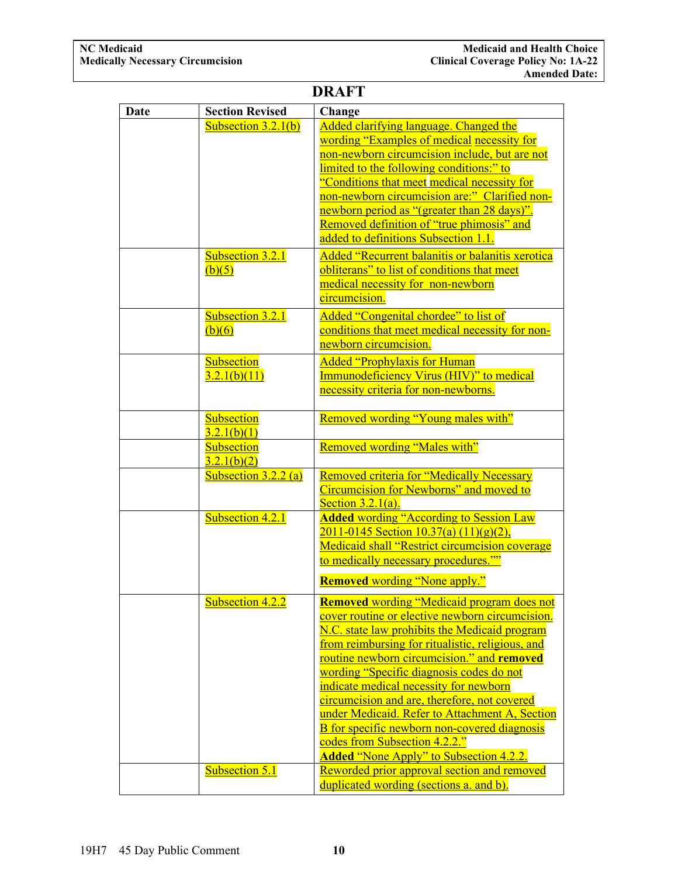|      |                                   | <b>DRAFT</b>                                                                                                                                                                                                                                                                                                                                                                                                                                                                                                                                                                                     |
|------|-----------------------------------|--------------------------------------------------------------------------------------------------------------------------------------------------------------------------------------------------------------------------------------------------------------------------------------------------------------------------------------------------------------------------------------------------------------------------------------------------------------------------------------------------------------------------------------------------------------------------------------------------|
| Date | <b>Section Revised</b>            | Change                                                                                                                                                                                                                                                                                                                                                                                                                                                                                                                                                                                           |
|      | Subsection $3.2.1(b)$             | Added clarifying language. Changed the<br>wording "Examples of medical necessity for<br>non-newborn circumcision include, but are not<br>limited to the following conditions:" to<br>"Conditions that meet medical necessity for<br>non-newborn circumcision are:" Clarified non-<br>newborn period as "(greater than 28 days)".<br>Removed definition of "true phimosis" and<br>added to definitions Subsection 1.1.                                                                                                                                                                            |
|      | <b>Subsection 3.2.1</b><br>(b)(5) | Added "Recurrent balanitis or balanitis xerotica<br>obliterans" to list of conditions that meet<br>medical necessity for non-newborn<br>circumcision.                                                                                                                                                                                                                                                                                                                                                                                                                                            |
|      | Subsection 3.2.1<br>(b)(6)        | Added "Congenital chordee" to list of<br>conditions that meet medical necessity for non-<br>newborn circumcision.                                                                                                                                                                                                                                                                                                                                                                                                                                                                                |
|      | Subsection<br>3.2.1(b)(11)        | <b>Added "Prophylaxis for Human</b><br><b>Immunodeficiency Virus (HIV)"</b> to medical<br>necessity criteria for non-newborns.                                                                                                                                                                                                                                                                                                                                                                                                                                                                   |
|      | Subsection<br>3.2.1(b)(1)         | Removed wording "Young males with"                                                                                                                                                                                                                                                                                                                                                                                                                                                                                                                                                               |
|      | Subsection<br>3.2.1(b)(2)         | Removed wording "Males with"                                                                                                                                                                                                                                                                                                                                                                                                                                                                                                                                                                     |
|      | Subsection $3.2.2$ (a)            | Removed criteria for "Medically Necessary<br>Circumcision for Newborns" and moved to<br>Section $3.2.1(a)$ .                                                                                                                                                                                                                                                                                                                                                                                                                                                                                     |
|      | Subsection 4.2.1                  | <b>Added wording "According to Session Law</b><br>$\frac{2011 - 0145}{2011 - 0145}$ Section $\frac{10.37(a)(11)(g)(2)}{2011 - 0145}$<br>Medicaid shall "Restrict circumcision coverage<br>to medically necessary procedures.""<br><b>Removed</b> wording "None apply."                                                                                                                                                                                                                                                                                                                           |
|      | Subsection 4.2.2                  | <b>Removed wording "Medicaid program does not</b><br>cover routine or elective newborn circumcision.<br>N.C. state law prohibits the Medicaid program<br>from reimbursing for ritualistic, religious, and<br>routine newborn circumcision." and removed<br>wording "Specific diagnosis codes do not<br>indicate medical necessity for newborn<br>circumcision and are, therefore, not covered<br>under Medicaid. Refer to Attachment A, Section<br><b>B</b> for specific newborn non-covered diagnosis<br>codes from Subsection 4.2.2."<br><b><u>Added "None Apply" to Subsection 4.2.2.</u></b> |
|      | Subsection 5.1                    | Reworded prior approval section and removed<br>duplicated wording (sections a. and b).                                                                                                                                                                                                                                                                                                                                                                                                                                                                                                           |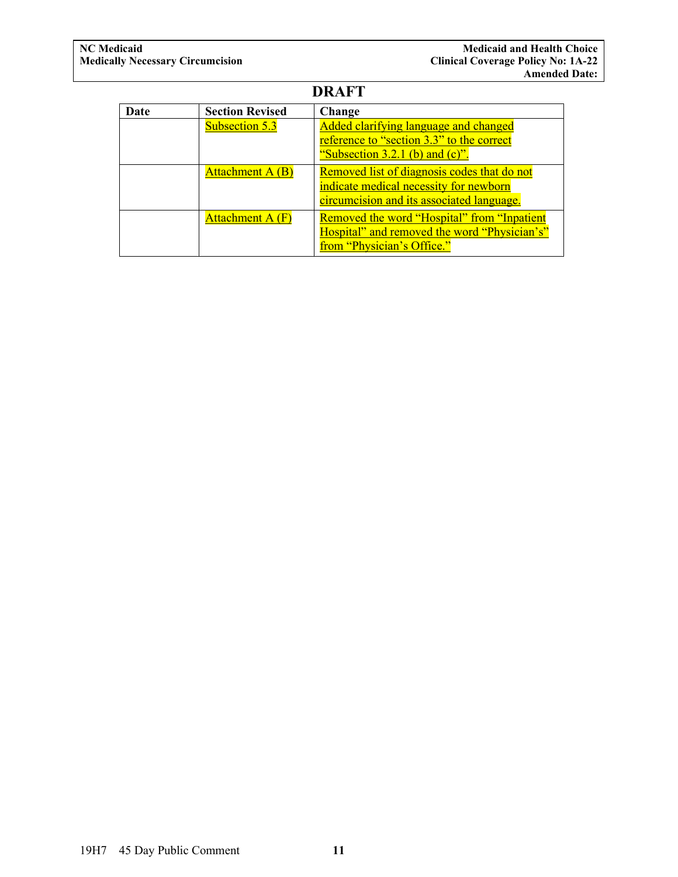| Date | <b>Section Revised</b>  | Change                                                                                                                             |
|------|-------------------------|------------------------------------------------------------------------------------------------------------------------------------|
|      | <b>Subsection 5.3</b>   | Added clarifying language and changed<br>reference to "section 3.3" to the correct<br>"Subsection $3.2.1$ (b) and (c)".            |
|      | Attachment A (B)        | Removed list of diagnosis codes that do not<br>indicate medical necessity for newborn<br>circumcision and its associated language. |
|      | <b>Attachment A (F)</b> | <b>Removed the word "Hospital" from "Inpatient</b><br>Hospital" and removed the word "Physician's"<br>from "Physician's Office."   |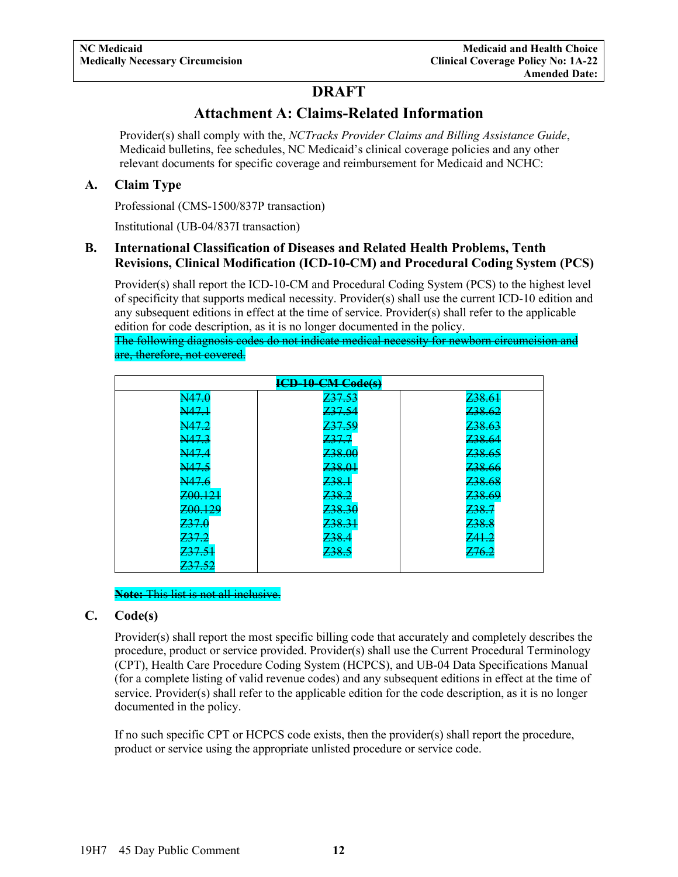### **Attachment A: Claims-Related Information**

<span id="page-13-0"></span>Provider(s) shall comply with the, *NCTracks Provider Claims and Billing Assistance Guide*, Medicaid bulletins, fee schedules, NC Medicaid's clinical coverage policies and any other relevant documents for specific coverage and reimbursement for Medicaid and NCHC:

#### <span id="page-13-1"></span>**A. Claim Type**

Professional (CMS-1500/837P transaction)

Institutional (UB-04/837I transaction)

#### <span id="page-13-2"></span>**B. International Classification of Diseases and Related Health Problems, Tenth Revisions, Clinical Modification (ICD-10-CM) and Procedural Coding System (PCS)**

Provider(s) shall report the ICD-10-CM and Procedural Coding System (PCS) to the highest level of specificity that supports medical necessity. Provider(s) shall use the current ICD-10 edition and any subsequent editions in effect at the time of service. Provider(s) shall refer to the applicable edition for code description, as it is no longer documented in the policy.

The following diagnosis codes do not indicate medical necessity for newborn circumcision and are, therefore, not covered.

| ICD-10-CM-Code(s)  |                    |                    |  |
|--------------------|--------------------|--------------------|--|
| N47.0              | Z37.53             | <del>Z38.61</del>  |  |
| N47.1              | Z37.54             | Z38.62             |  |
| N47.2              | Z37.59             | Z <sub>38.63</sub> |  |
| N47.3              | Z37.7              | Z <sub>38.64</sub> |  |
| N47.4              | <del>Z38.00</del>  | <del>Z38.65</del>  |  |
| N47.5              | Z38.01             | Z38.66             |  |
| N47.6              | 238.1              | Z <sub>38.68</sub> |  |
| Z00.121            | Z <sub>38.2</sub>  | Z <sub>38.69</sub> |  |
| <del>Z00.129</del> | Z <sub>38.30</sub> | <del>Z38.7</del>   |  |
| Z37.0              | <del>Z38.31</del>  | Z38.8              |  |
| <del>Z37.2</del>   | Z38.4              | Z41.2              |  |
| <del>Z37.51</del>  | Z <sub>38.5</sub>  | <del>Z76.2</del>   |  |
| <del>Z37.52</del>  |                    |                    |  |

**Note:** This list is not all inclusive.

#### <span id="page-13-3"></span>**C. Code(s)**

Provider(s) shall report the most specific billing code that accurately and completely describes the procedure, product or service provided. Provider(s) shall use the Current Procedural Terminology (CPT), Health Care Procedure Coding System (HCPCS), and UB-04 Data Specifications Manual (for a complete listing of valid revenue codes) and any subsequent editions in effect at the time of service. Provider(s) shall refer to the applicable edition for the code description, as it is no longer documented in the policy.

If no such specific CPT or HCPCS code exists, then the provider(s) shall report the procedure, product or service using the appropriate unlisted procedure or service code.